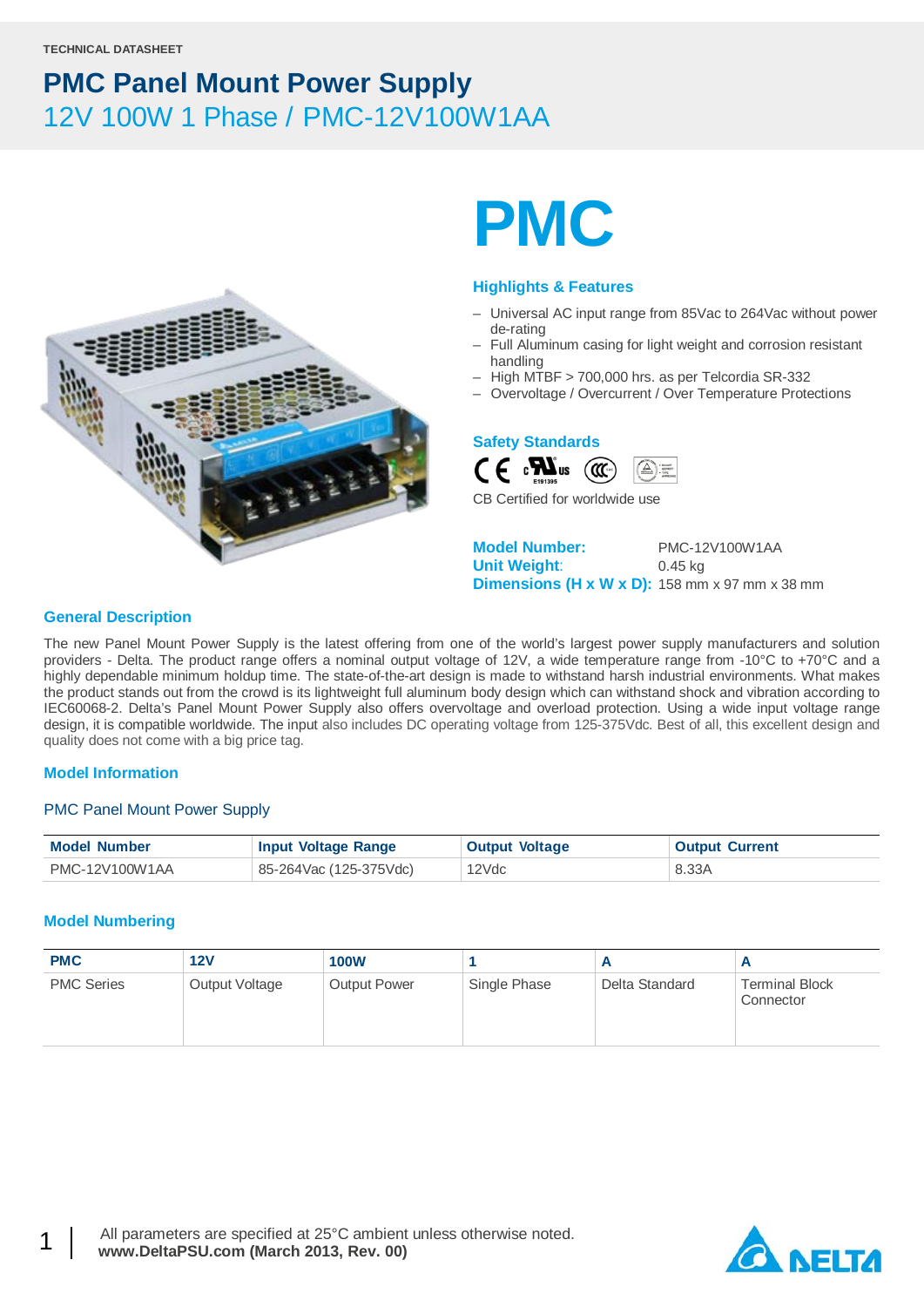

# **PMC**

### **Highlights & Features**

- Universal AC input range from 85Vac to 264Vac without power de-rating
- Full Aluminum casing for light weight and corrosion resistant handling
- High MTBF > 700,000 hrs. as per Telcordia SR-332
- Overvoltage / Overcurrent / Over Temperature Protections

### **Safety Standards**



CB Certified for worldwide use

**Model Number:** PMC-12V100W1AA **Unit Weight**: 0.45 kg **Dimensions (H x W x D):** 158 mm x 97 mm x 38 mm

### **General Description**

The new Panel Mount Power Supply is the latest offering from one of the world's largest power supply manufacturers and solution providers - Delta. The product range offers a nominal output voltage of 12V, a wide temperature range from -10°C to +70°C and a highly dependable minimum holdup time. The state-of-the-art design is made to withstand harsh industrial environments. What makes the product stands out from the crowd is its lightweight full aluminum body design which can withstand shock and vibration according to IEC60068-2. Delta's Panel Mount Power Supply also offers overvoltage and overload protection. Using a wide input voltage range design, it is compatible worldwide. The input also includes DC operating voltage from 125-375Vdc. Best of all, this excellent design and quality does not come with a big price tag.

### **Model Information**

### PMC Panel Mount Power Supply

| <b>Model Number</b> | <b>Input Voltage Range</b> | <b>Output Voltage</b> | <b>Output Current</b> |
|---------------------|----------------------------|-----------------------|-----------------------|
| PMC-12V100W1AA      | 85-264Vac (125-375Vdc)     | 12Vdc                 | 8.33A                 |

### **Model Numbering**

| <b>PMC</b>        | 12V            | <b>100W</b>         |              | Ē              |                                    |
|-------------------|----------------|---------------------|--------------|----------------|------------------------------------|
| <b>PMC Series</b> | Output Voltage | <b>Output Power</b> | Single Phase | Delta Standard | <b>Terminal Block</b><br>Connector |

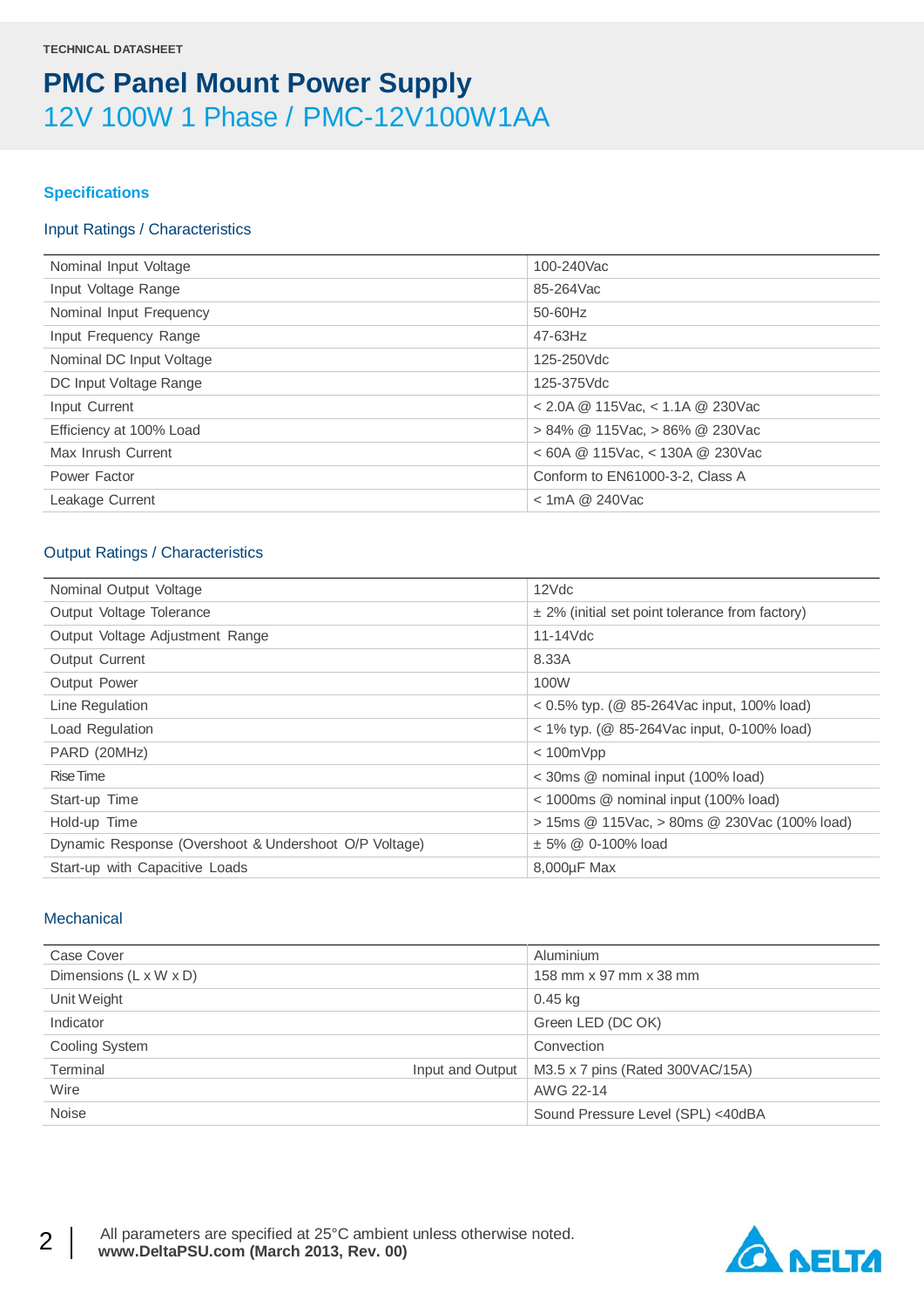### **Specifications**

### Input Ratings / Characteristics

| Nominal Input Voltage    | 100-240Vac                           |
|--------------------------|--------------------------------------|
| Input Voltage Range      | 85-264Vac                            |
| Nominal Input Frequency  | 50-60Hz                              |
| Input Frequency Range    | 47-63Hz                              |
| Nominal DC Input Voltage | 125-250Vdc                           |
| DC Input Voltage Range   | 125-375Vdc                           |
| Input Current            | $<$ 2.0A @ 115Vac, $<$ 1.1A @ 230Vac |
| Efficiency at 100% Load  | $> 84\%$ @ 115Vac, $> 86\%$ @ 230Vac |
| Max Inrush Current       | $<$ 60A @ 115Vac, $<$ 130A @ 230Vac  |
| Power Factor             | Conform to EN61000-3-2, Class A      |
| Leakage Current          | $<$ 1mA @ 240Vac                     |
|                          |                                      |

### Output Ratings / Characteristics

| Nominal Output Voltage                                | $12$ $Vdc$                                          |
|-------------------------------------------------------|-----------------------------------------------------|
| Output Voltage Tolerance                              | $\pm$ 2% (initial set point tolerance from factory) |
| Output Voltage Adjustment Range                       | $11-14$ Vdc                                         |
| <b>Output Current</b>                                 | 8.33A                                               |
| <b>Output Power</b>                                   | 100W                                                |
| Line Regulation                                       | $0.5\%$ typ. (@ 85-264Vac input, 100% load)         |
| Load Regulation                                       | < 1% typ. (@ 85-264Vac input, 0-100% load)          |
| PARD (20MHz)                                          | $<$ 100 $mV$ pp                                     |
| Rise Time                                             | < 30ms @ nominal input (100% load)                  |
| Start-up Time                                         | < 1000ms @ nominal input (100% load)                |
| Hold-up Time                                          | > 15ms @ 115Vac, > 80ms @ 230Vac (100% load)        |
| Dynamic Response (Overshoot & Undershoot O/P Voltage) | $± 5\% @ 0-100\%$ load                              |
| Start-up with Capacitive Loads                        | 8,000µF Max                                         |

### **Mechanical**

| Case Cover                   | Aluminium                         |
|------------------------------|-----------------------------------|
| Dimensions (L x W x D)       | 158 mm x 97 mm x 38 mm            |
| Unit Weight                  | 0.45 kg                           |
| Indicator                    | Green LED (DC OK)                 |
| <b>Cooling System</b>        | Convection                        |
| Terminal<br>Input and Output | M3.5 x 7 pins (Rated 300VAC/15A)  |
| Wire                         | AWG 22-14                         |
| <b>Noise</b>                 | Sound Pressure Level (SPL) <40dBA |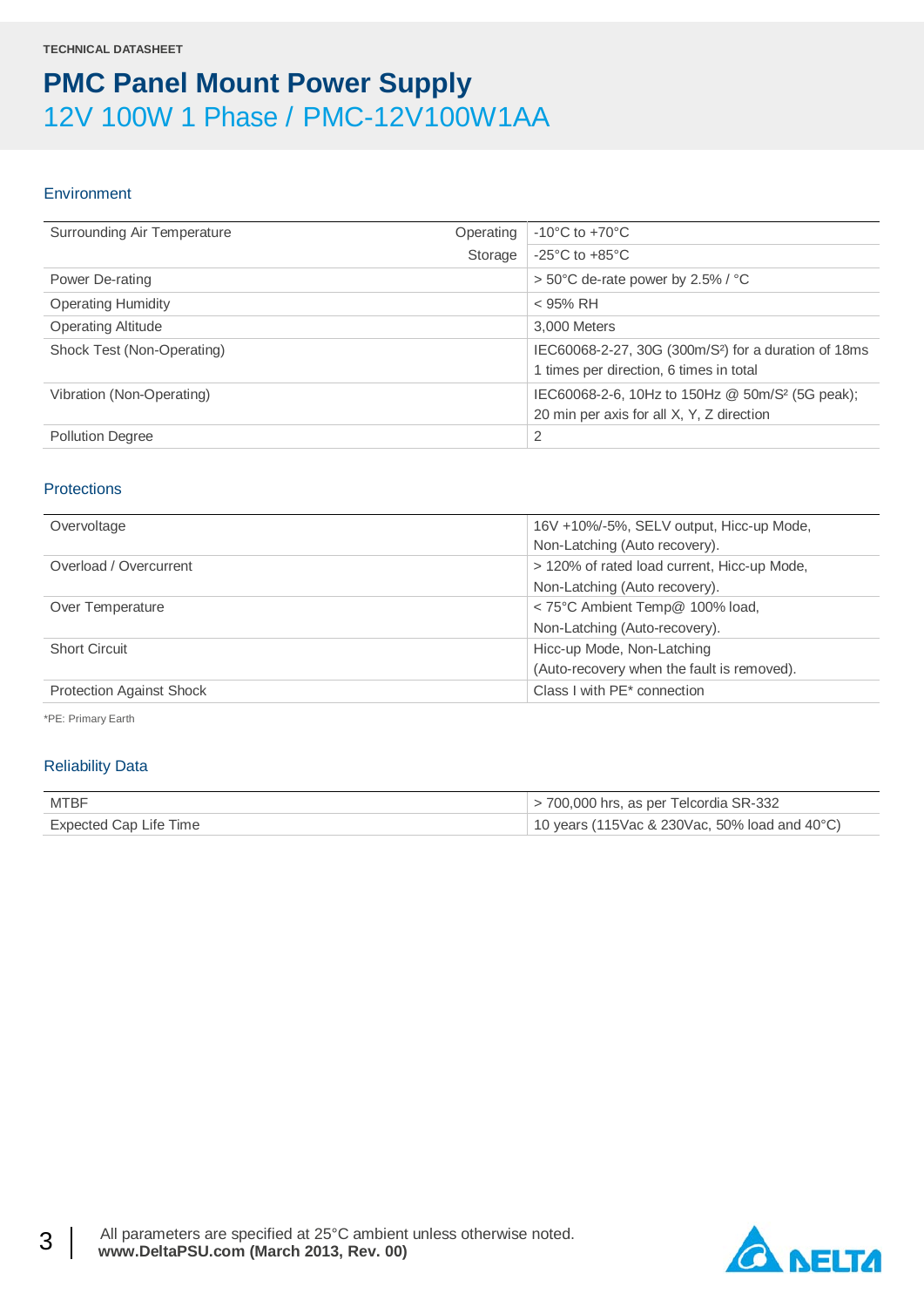### **Environment**

| Surrounding Air Temperature<br>Operating | $-10^{\circ}$ C to $+70^{\circ}$ C                               |
|------------------------------------------|------------------------------------------------------------------|
| Storage                                  | $-25^{\circ}$ C to $+85^{\circ}$ C                               |
| Power De-rating                          | > 50°C de-rate power by 2.5% / °C                                |
| <b>Operating Humidity</b>                | $<$ 95% RH                                                       |
| <b>Operating Altitude</b>                | 3.000 Meters                                                     |
| Shock Test (Non-Operating)               | IEC60068-2-27, 30G (300m/S <sup>2</sup> ) for a duration of 18ms |
|                                          | 1 times per direction, 6 times in total                          |
| Vibration (Non-Operating)                | IEC60068-2-6, 10Hz to 150Hz @ 50m/S <sup>2</sup> (5G peak);      |
|                                          | 20 min per axis for all X, Y, Z direction                        |
| <b>Pollution Degree</b>                  | $\overline{2}$                                                   |

### **Protections**

| Overvoltage                     | 16V +10%/-5%, SELV output, Hicc-up Mode,    |
|---------------------------------|---------------------------------------------|
|                                 | Non-Latching (Auto recovery).               |
| Overload / Overcurrent          | > 120% of rated load current, Hicc-up Mode, |
|                                 | Non-Latching (Auto recovery).               |
| Over Temperature                | < 75°C Ambient Temp@ 100% load,             |
|                                 | Non-Latching (Auto-recovery).               |
| <b>Short Circuit</b>            | Hicc-up Mode, Non-Latching                  |
|                                 | (Auto-recovery when the fault is removed).  |
| <b>Protection Against Shock</b> | Class I with PE* connection                 |

\*PE: Primary Earth

### Reliability Data

| <b>MTBF</b>            | > 700,000 hrs, as per Telcordia SR-332        |
|------------------------|-----------------------------------------------|
| Expected Cap Life Time | 10 years (115Vac & 230Vac, 50% load and 40°C) |

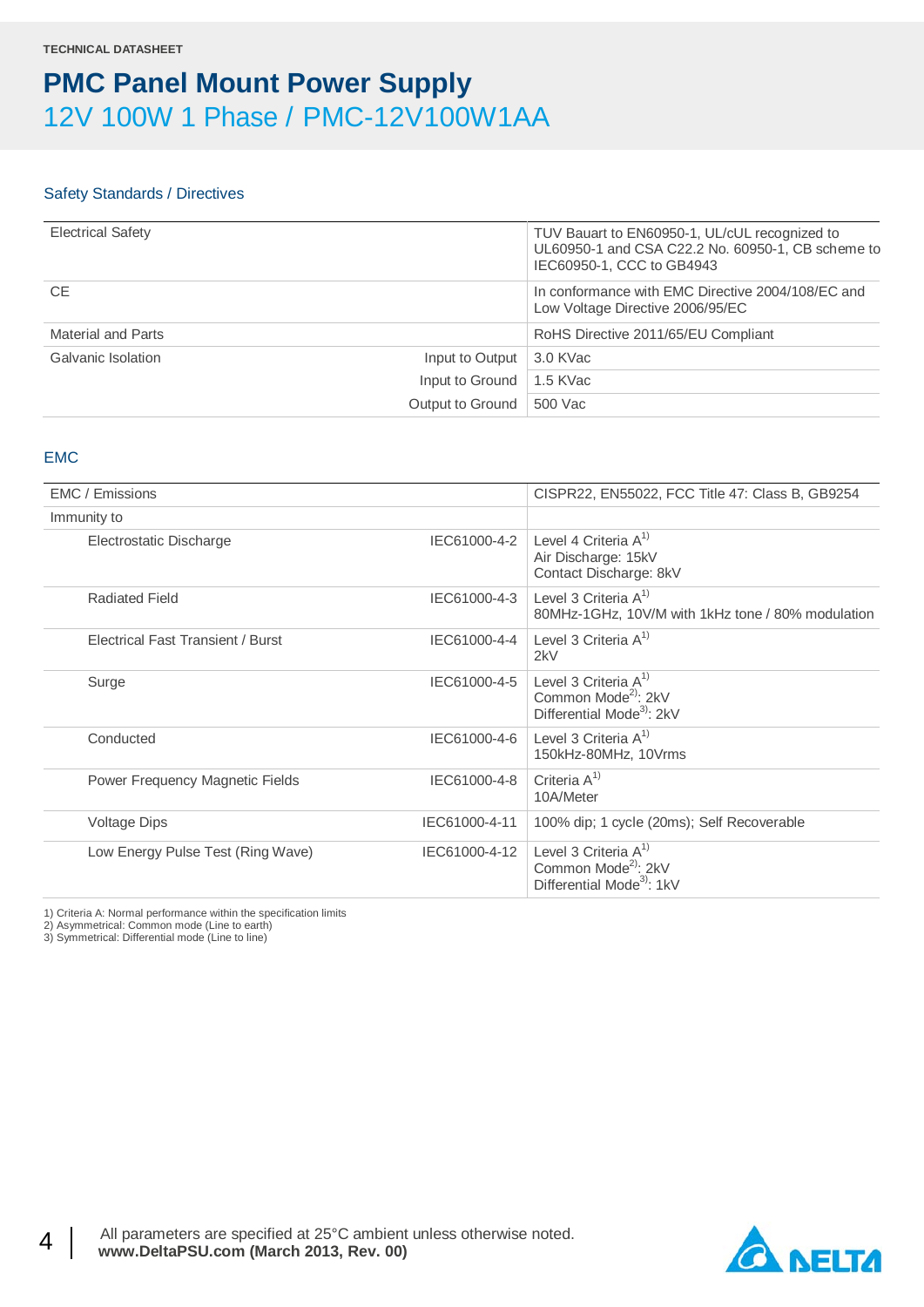### Safety Standards / Directives

| <b>Electrical Safety</b> |                            | TUV Bauart to EN60950-1, UL/cUL recognized to<br>UL60950-1 and CSA C22.2 No. 60950-1, CB scheme to<br>IEC60950-1, CCC to GB4943 |
|--------------------------|----------------------------|---------------------------------------------------------------------------------------------------------------------------------|
| <b>CE</b>                |                            | In conformance with EMC Directive 2004/108/EC and<br>Low Voltage Directive 2006/95/EC                                           |
| Material and Parts       |                            | RoHS Directive 2011/65/EU Compliant                                                                                             |
| Galvanic Isolation       | Input to Output 3.0 KVac   |                                                                                                                                 |
|                          | Input to Ground   1.5 KVac |                                                                                                                                 |
|                          | Output to Ground           | 500 Vac                                                                                                                         |

### EMC

| EMC / Emissions                   |               | CISPR22, EN55022, FCC Title 47: Class B, GB9254                                                     |
|-----------------------------------|---------------|-----------------------------------------------------------------------------------------------------|
| Immunity to                       |               |                                                                                                     |
| Electrostatic Discharge           | IEC61000-4-2  | Level 4 Criteria $A^{1}$<br>Air Discharge: 15kV<br>Contact Discharge: 8kV                           |
| <b>Radiated Field</b>             | IEC61000-4-3  | Level 3 Criteria $A^{(1)}$<br>80MHz-1GHz, 10V/M with 1kHz tone / 80% modulation                     |
| Electrical Fast Transient / Burst | IEC61000-4-4  | Level 3 Criteria $A^{1}$<br>2kV                                                                     |
| Surge                             | IEC61000-4-5  | Level 3 Criteria $A^{1}$<br>Common Mode <sup>2)</sup> : 2kV<br>Differential Mode <sup>3</sup> : 2kV |
| Conducted                         | IEC61000-4-6  | Level 3 Criteria $A^{1}$<br>150kHz-80MHz, 10Vrms                                                    |
| Power Frequency Magnetic Fields   | IEC61000-4-8  | Criteria $A^{1}$<br>10A/Meter                                                                       |
| <b>Voltage Dips</b>               | IEC61000-4-11 | 100% dip; 1 cycle (20ms); Self Recoverable                                                          |
| Low Energy Pulse Test (Ring Wave) | IEC61000-4-12 | Level 3 Criteria $A^{1}$<br>Common Mode <sup>2)</sup> : 2kV<br>Differential Mode <sup>3</sup> : 1kV |

1) Criteria A: Normal performance within the specification limits

2) Asymmetrical: Common mode (Line to earth) 3) Symmetrical: Differential mode (Line to line)

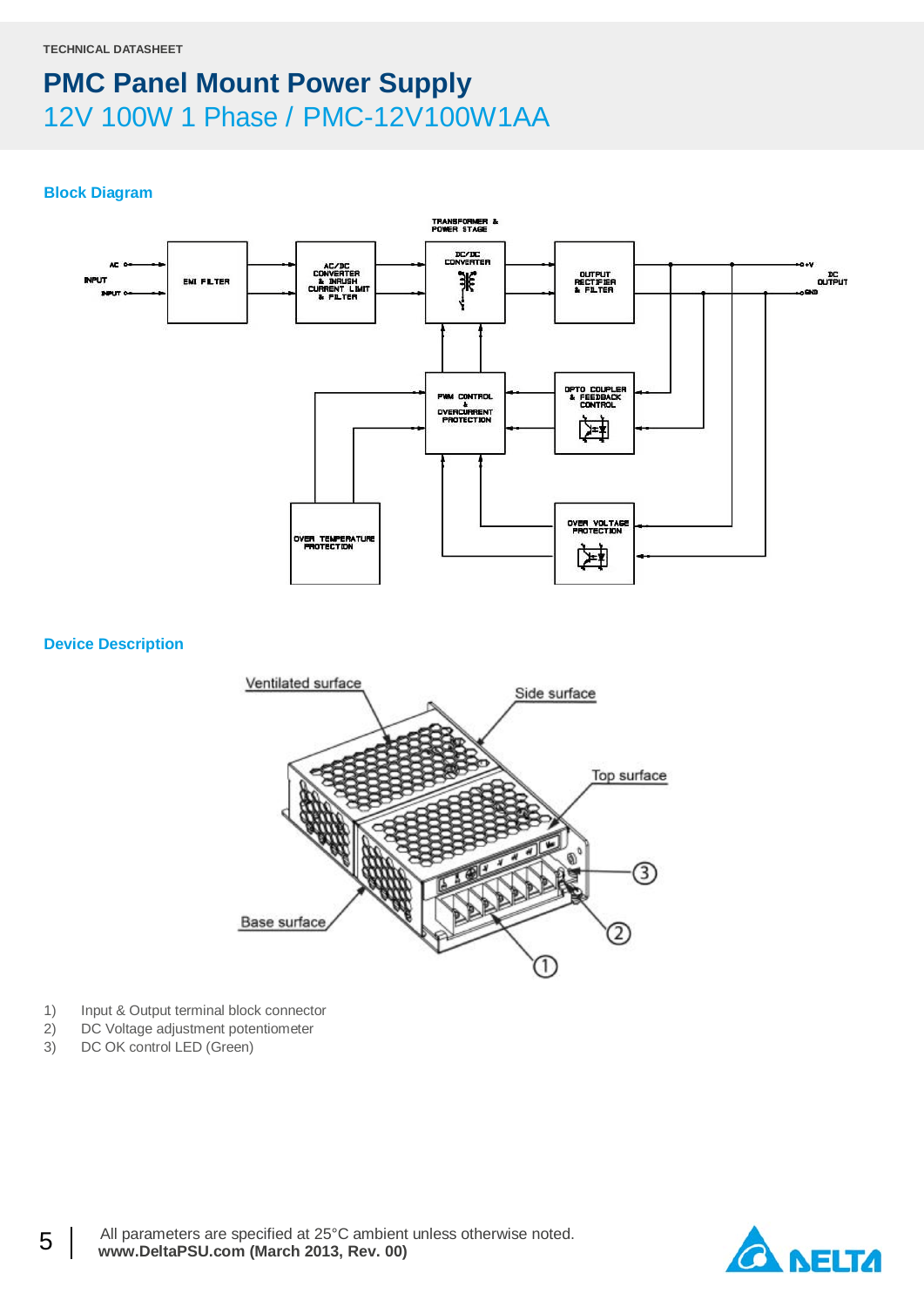### **Block Diagram**



### **Device Description**



- 1) Input & Output terminal block connector
- 2) DC Voltage adjustment potentiometer<br>3) DC OK control LED (Green)
- DC OK control LED (Green)

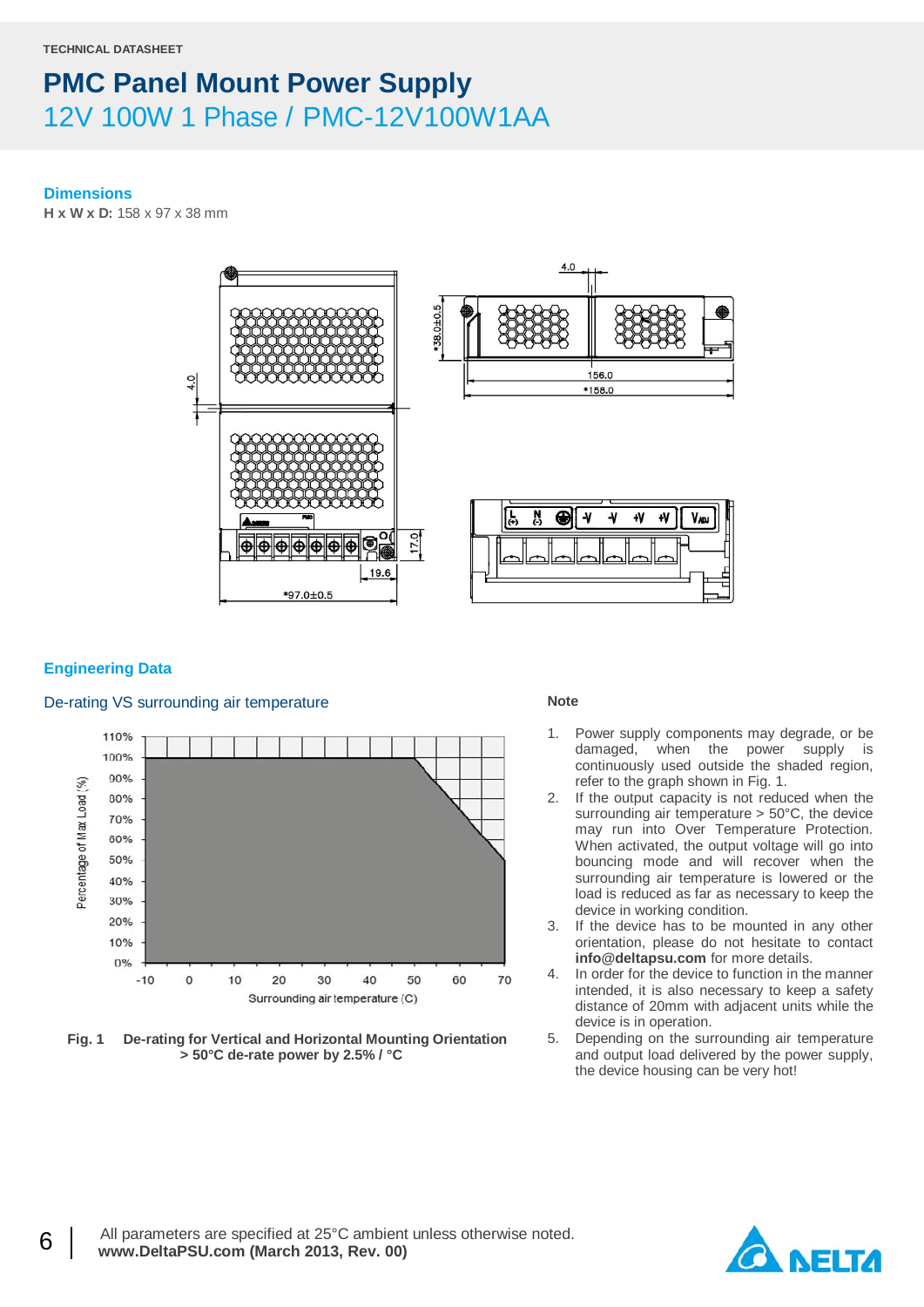#### **Dimensions**

**H x W x D:** 158 x 97 x 38 mm



### **Engineering Data**

### De-rating VS surrounding air temperature



**Fig. 1 De-rating for Vertical and Horizontal Mounting Orientation > 50°C de-rate power by 2.5% / °C**

#### **Note**

- 1. Power supply components may degrade, or be damaged, when the power supply is continuously used outside the shaded region, refer to the graph shown in Fig. 1.
- 2. If the output capacity is not reduced when the surrounding air temperature > 50°C, the device may run into Over Temperature Protection. When activated, the output voltage will go into bouncing mode and will recover when the surrounding air temperature is lowered or the load is reduced as far as necessary to keep the device in working condition.
- 3. If the device has to be mounted in any other orientation, please do not hesitate to contact **info@deltapsu.com** for more details.
- 4. In order for the device to function in the manner intended, it is also necessary to keep a safety distance of 20mm with adjacent units while the device is in operation.
- 5. Depending on the surrounding air temperature and output load delivered by the power supply, the device housing can be very hot!

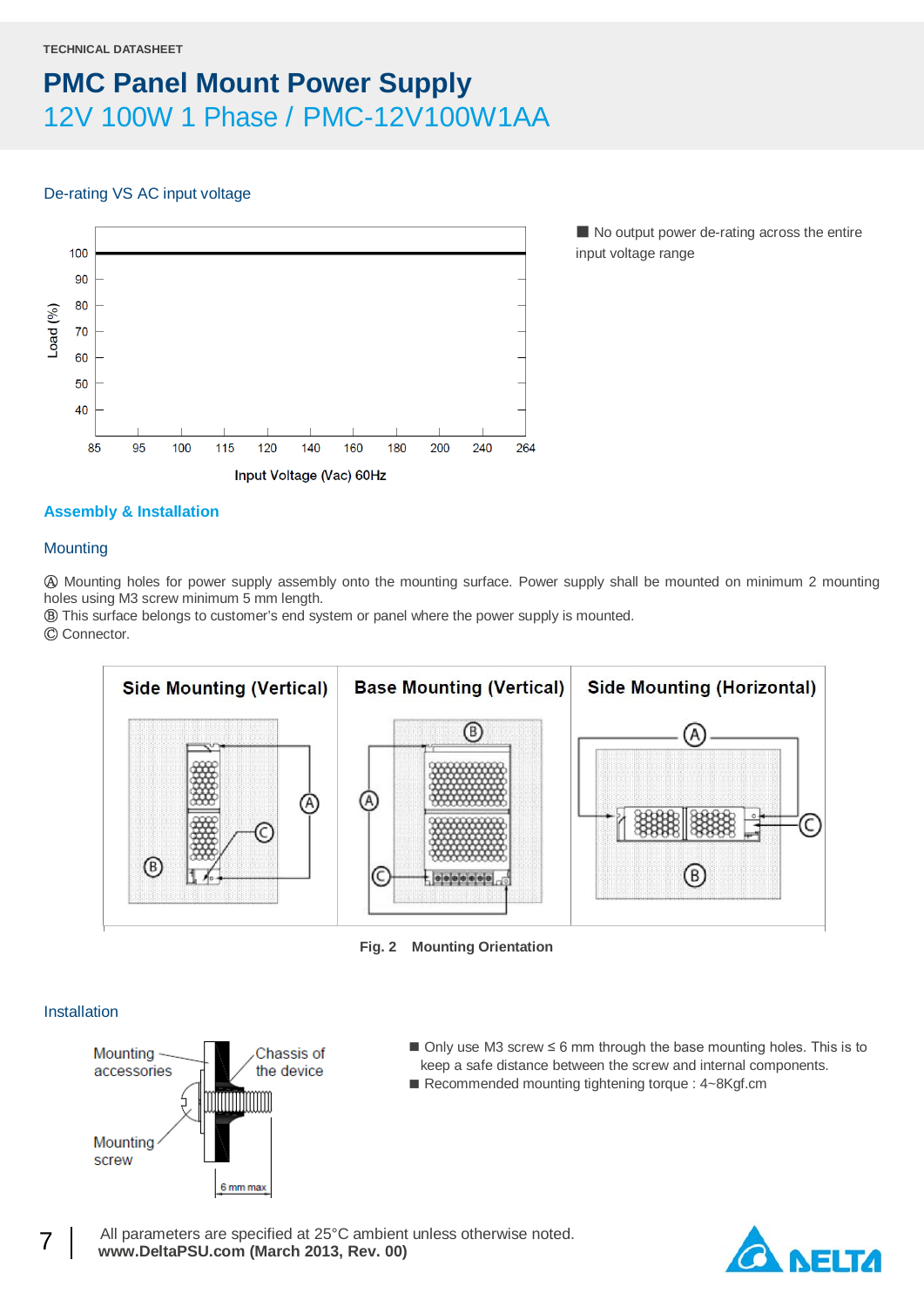### De-rating VS AC input voltage



■ No output power de-rating across the entire input voltage range

### **Assembly & Installation**

### **Mounting**

Ⓐ Mounting holes for power supply assembly onto the mounting surface. Power supply shall be mounted on minimum 2 mounting holes using M3 screw minimum 5 mm length.

Ⓑ This surface belongs to customer's end system or panel where the power supply is mounted.

Ⓒ Connector.



**Fig. 2 Mounting Orientation**

### Installation



- Only use M3 screw ≤ 6 mm through the base mounting holes. This is to keep a safe distance between the screw and internal components.
- Recommended mounting tightening torque : 4~8Kgf.cm

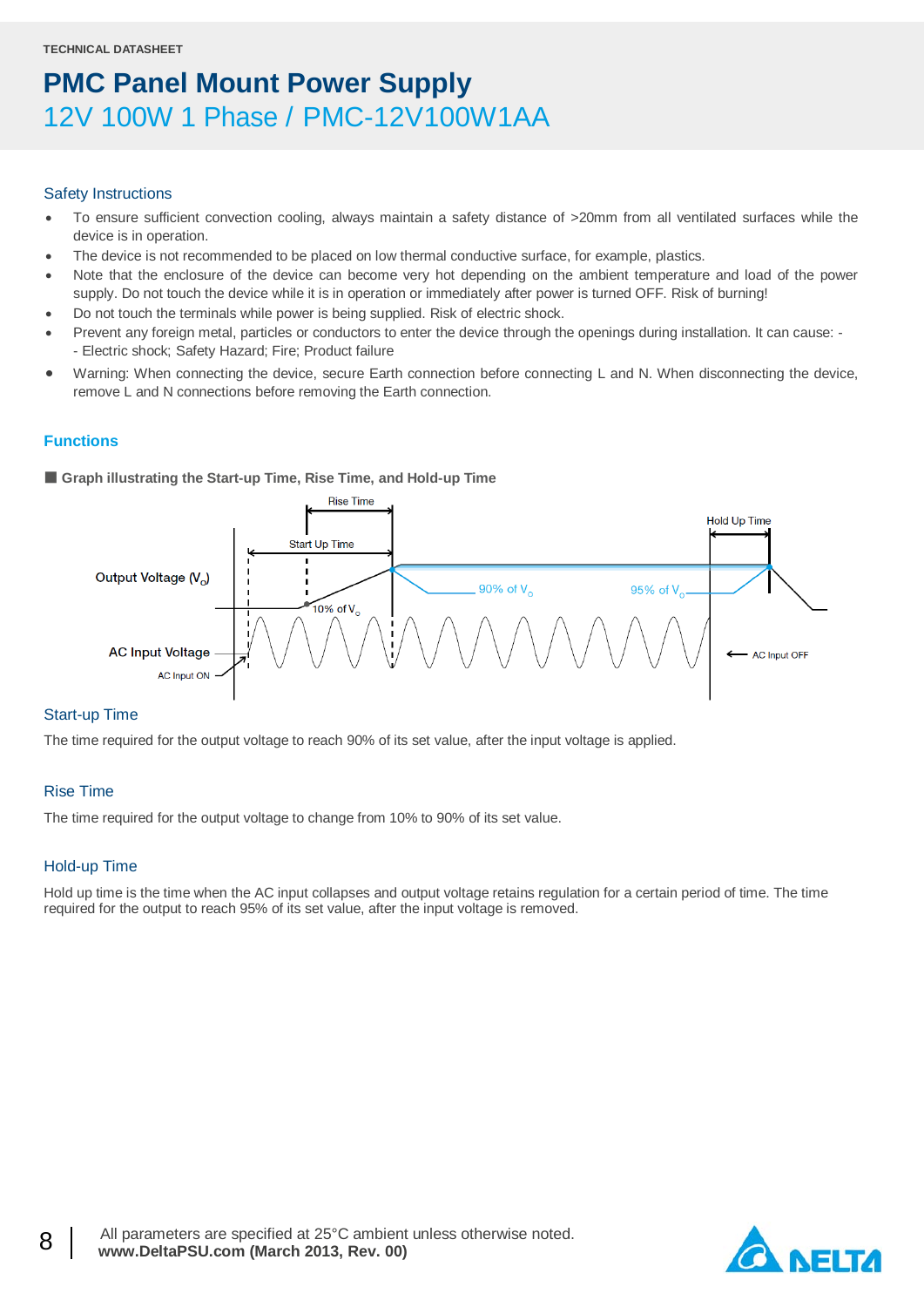#### Safety Instructions

- To ensure sufficient convection cooling, always maintain a safety distance of >20mm from all ventilated surfaces while the device is in operation.
- The device is not recommended to be placed on low thermal conductive surface, for example, plastics.
- Note that the enclosure of the device can become very hot depending on the ambient temperature and load of the power supply. Do not touch the device while it is in operation or immediately after power is turned OFF. Risk of burning!
- Do not touch the terminals while power is being supplied. Risk of electric shock.
- Prevent any foreign metal, particles or conductors to enter the device through the openings during installation. It can cause: - Electric shock; Safety Hazard; Fire; Product failure
- Warning: When connecting the device, secure Earth connection before connecting L and N. When disconnecting the device, remove L and N connections before removing the Earth connection.

### **Functions**

■ Graph illustrating the Start-up Time, Rise Time, and Hold-up Time



### Start-up Time

The time required for the output voltage to reach 90% of its set value, after the input voltage is applied.

### Rise Time

The time required for the output voltage to change from 10% to 90% of its set value.

### Hold-up Time

Hold up time is the time when the AC input collapses and output voltage retains regulation for a certain period of time. The time required for the output to reach 95% of its set value, after the input voltage is removed.

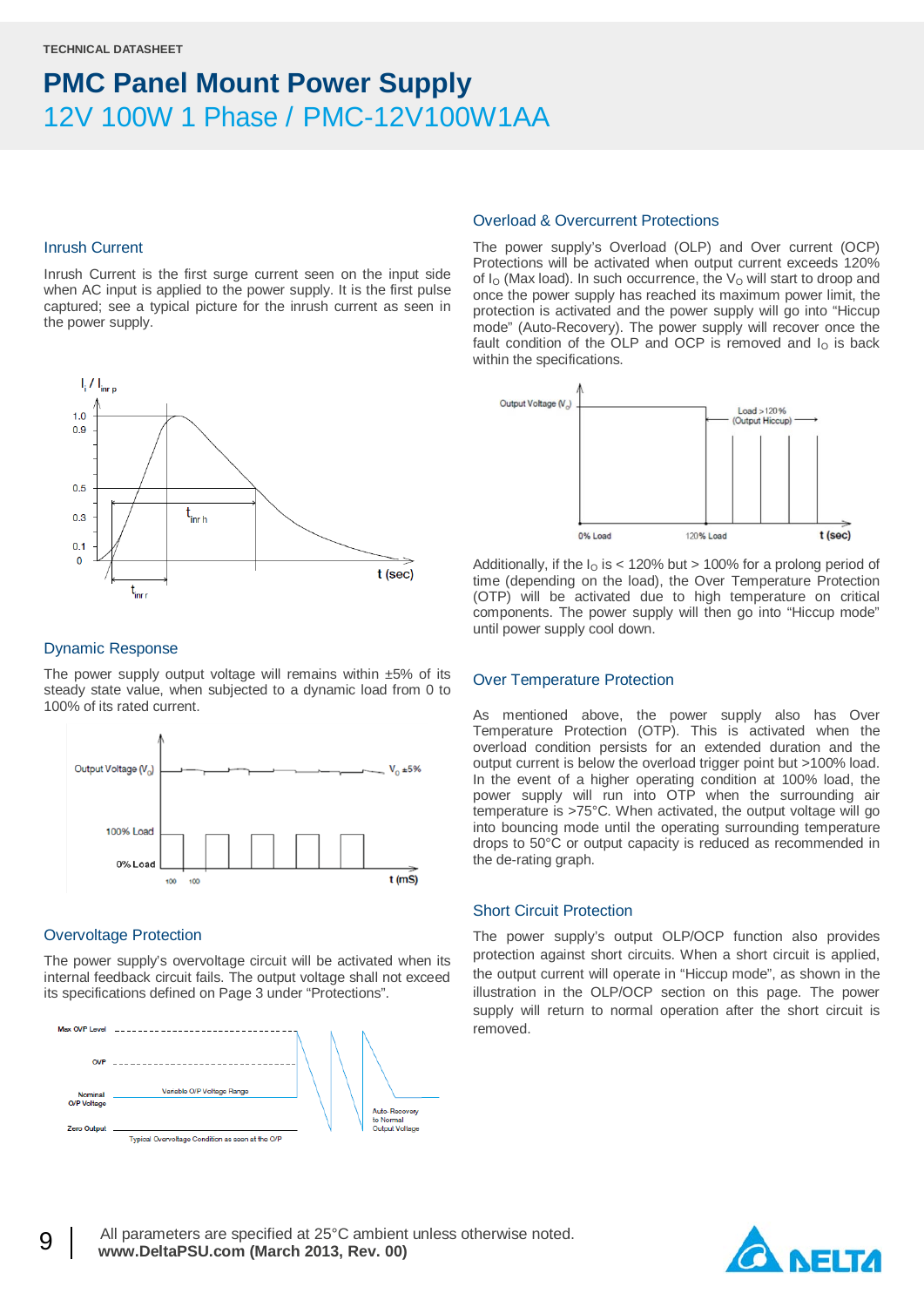### Inrush Current

Inrush Current is the first surge current seen on the input side when AC input is applied to the power supply. It is the first pulse captured; see a typical picture for the inrush current as seen in the power supply.



#### Dynamic Response

The power supply output voltage will remains within  $±5\%$  of its steady state value, when subjected to a dynamic load from 0 to 100% of its rated current.



### Overvoltage Protection

The power supply's overvoltage circuit will be activated when its internal feedback circuit fails. The output voltage shall not exceed its specifications defined on Page 3 under "Protections".



#### Overload & Overcurrent Protections

The power supply's Overload (OLP) and Over current (OCP) Protections will be activated when output current exceeds 120% of  $I<sub>O</sub>$  (Max load). In such occurrence, the  $V<sub>O</sub>$  will start to droop and once the power supply has reached its maximum power limit, the protection is activated and the power supply will go into "Hiccup mode" (Auto-Recovery). The power supply will recover once the fault condition of the OLP and OCP is removed and  $I<sub>O</sub>$  is back within the specifications.



Additionally, if the  $I<sub>0</sub>$  is < 120% but > 100% for a prolong period of time (depending on the load), the Over Temperature Protection (OTP) will be activated due to high temperature on critical components. The power supply will then go into "Hiccup mode" until power supply cool down.

#### Over Temperature Protection

As mentioned above, the power supply also has Over Temperature Protection (OTP). This is activated when the overload condition persists for an extended duration and the output current is below the overload trigger point but >100% load. In the event of a higher operating condition at 100% load, the power supply will run into OTP when the surrounding air temperature is >75°C. When activated, the output voltage will go into bouncing mode until the operating surrounding temperature drops to 50°C or output capacity is reduced as recommended in the de-rating graph.

### Short Circuit Protection

The power supply's output OLP/OCP function also provides protection against short circuits. When a short circuit is applied, the output current will operate in "Hiccup mode", as shown in the illustration in the OLP/OCP section on this page. The power supply will return to normal operation after the short circuit is removed.